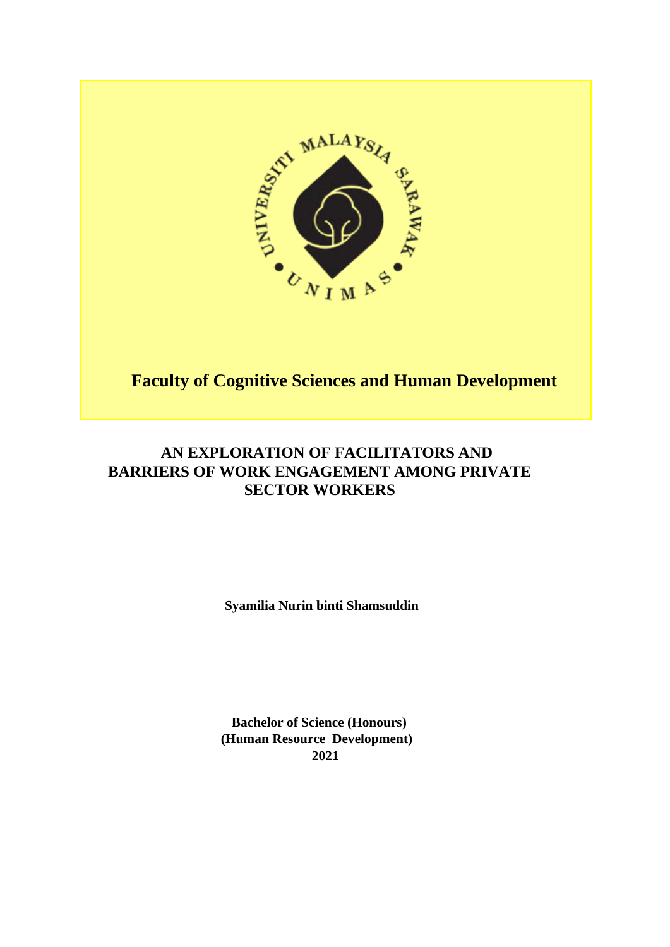

# **Faculty of Cognitive Sciences and Human Development**

# **AN EXPLORATION OF FACILITATORS AND BARRIERS OF WORK ENGAGEMENT AMONG PRIVATE SECTOR WORKERS**

 **Syamilia Nurin binti Shamsuddin** 

 **Bachelor of Science (Honours) (Human Resource Development) 2021**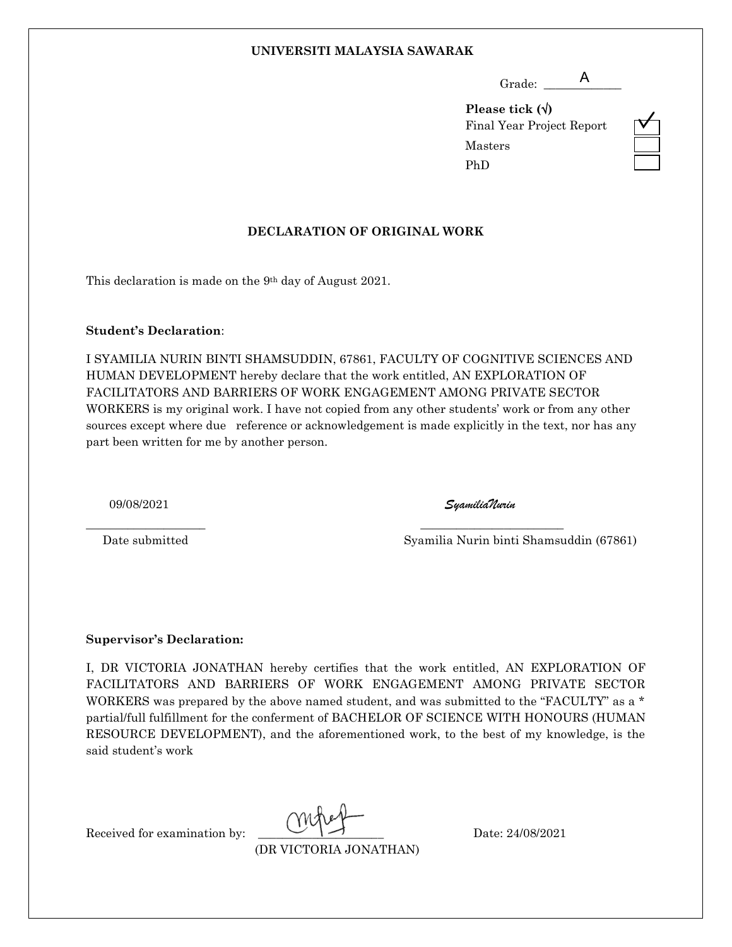#### **UNIVERSITI MALAYSIA SAWARAK**

 Grade: \_\_\_\_\_\_\_\_\_\_\_\_\_ A

**Please tick ()** Final Year Project Report Masters PhD



## **DECLARATION OF ORIGINAL WORK**

This declaration is made on the 9th day of August 2021.

#### **Student's Declaration**:

I SYAMILIA NURIN BINTI SHAMSUDDIN, 67861, FACULTY OF COGNITIVE SCIENCES AND HUMAN DEVELOPMENT hereby declare that the work entitled, AN EXPLORATION OF FACILITATORS AND BARRIERS OF WORK ENGAGEMENT AMONG PRIVATE SECTOR WORKERS is my original work. I have not copied from any other students' work or from any other sources except where due reference or acknowledgement is made explicitly in the text, nor has any part been written for me by another person.

\_\_\_\_\_\_\_\_\_\_\_\_\_\_\_\_\_\_\_\_ \_\_\_\_\_\_\_\_\_\_\_\_\_\_\_\_\_\_\_\_\_\_\_\_

09/08/2021 *SyamiliaNurin*

Date submitted Syamilia Nurin binti Shamsuddin (67861)

#### **Supervisor's Declaration:**

I, DR VICTORIA JONATHAN hereby certifies that the work entitled, AN EXPLORATION OF FACILITATORS AND BARRIERS OF WORK ENGAGEMENT AMONG PRIVATE SECTOR WORKERS was prepared by the above named student, and was submitted to the "FACULTY" as a \* partial/full fulfillment for the conferment of BACHELOR OF SCIENCE WITH HONOURS (HUMAN RESOURCE DEVELOPMENT), and the aforementioned work, to the best of my knowledge, is the said student's work

Received for examination by:  $\bigcup_{n=1}^{\infty}$   $\bigcup_{n=1}^{\infty}$  Date: 24/08/2021

(DR VICTORIA JONATHAN)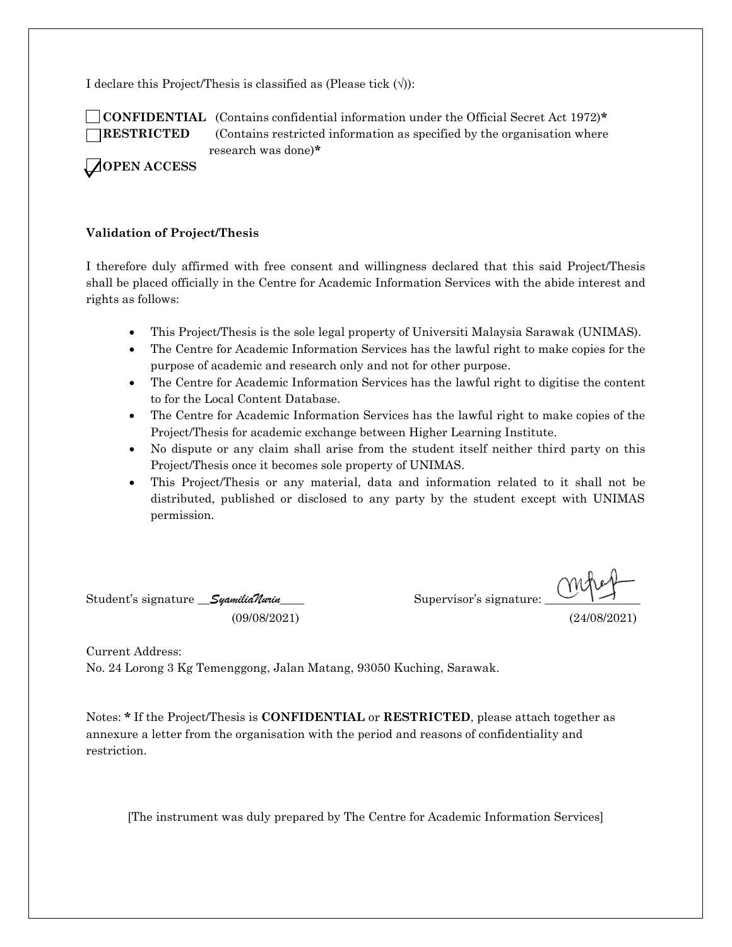I declare this Project/Thesis is classified as (Please tick  $(\forall)$ ):

 **CONFIDENTIAL** (Contains confidential information under the Official Secret Act 1972)**\* RESTRICTED** (Contains restricted information as specified by the organisation where research was done)**\***

**OPEN ACCESS**

#### **Validation of Project/Thesis**

I therefore duly affirmed with free consent and willingness declared that this said Project/Thesis shall be placed officially in the Centre for Academic Information Services with the abide interest and rights as follows:

- This Project/Thesis is the sole legal property of Universiti Malaysia Sarawak (UNIMAS).
- The Centre for Academic Information Services has the lawful right to make copies for the purpose of academic and research only and not for other purpose.
- The Centre for Academic Information Services has the lawful right to digitise the content to for the Local Content Database.
- The Centre for Academic Information Services has the lawful right to make copies of the Project/Thesis for academic exchange between Higher Learning Institute.
- No dispute or any claim shall arise from the student itself neither third party on this Project/Thesis once it becomes sole property of UNIMAS.
- This Project/Thesis or any material, data and information related to it shall not be distributed, published or disclosed to any party by the student except with UNIMAS permission.

Student's signature *\_\_\_\_\_\_\_\_\_\_\_\_\_\_\_\_\_\_\_\_\_\_\_\_\_\_\_\_\_* Supervisor's signature:

(09/08/2021) (24/08/2021)

Current Address: No. 24 Lorong 3 Kg Temenggong, Jalan Matang, 93050 Kuching, Sarawak.

Notes: **\*** If the Project/Thesis is **CONFIDENTIAL** or **RESTRICTED**, please attach together as annexure a letter from the organisation with the period and reasons of confidentiality and restriction.

[The instrument was duly prepared by The Centre for Academic Information Services]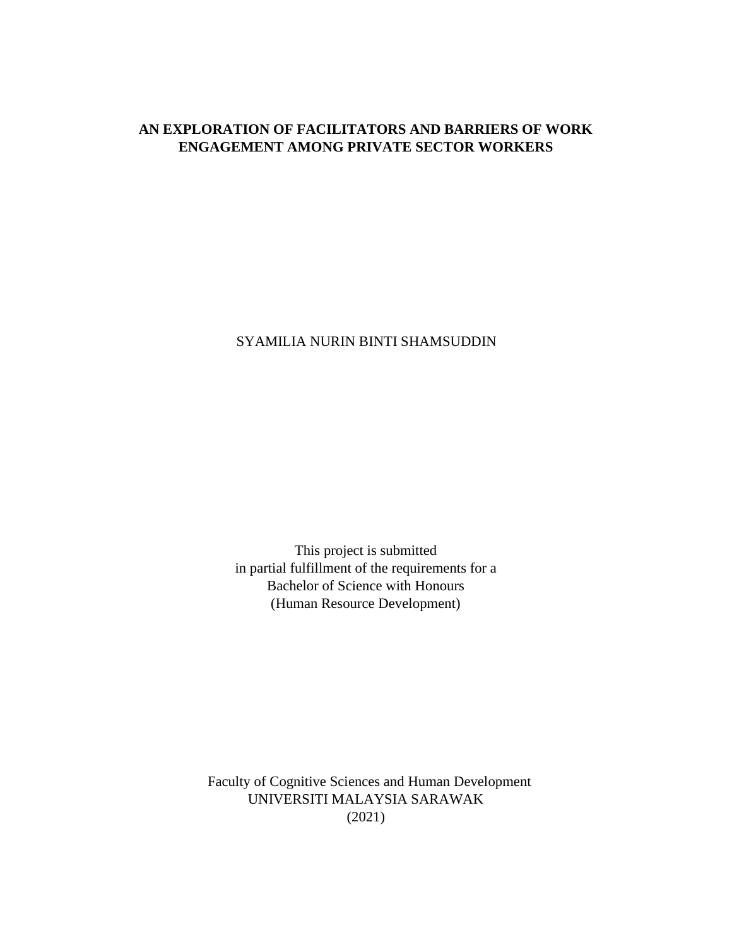# **AN EXPLORATION OF FACILITATORS AND BARRIERS OF WORK ENGAGEMENT AMONG PRIVATE SECTOR WORKERS**

SYAMILIA NURIN BINTI SHAMSUDDIN

This project is submitted in partial fulfillment of the requirements for a Bachelor of Science with Honours (Human Resource Development)

Faculty of Cognitive Sciences and Human Development UNIVERSITI MALAYSIA SARAWAK (2021)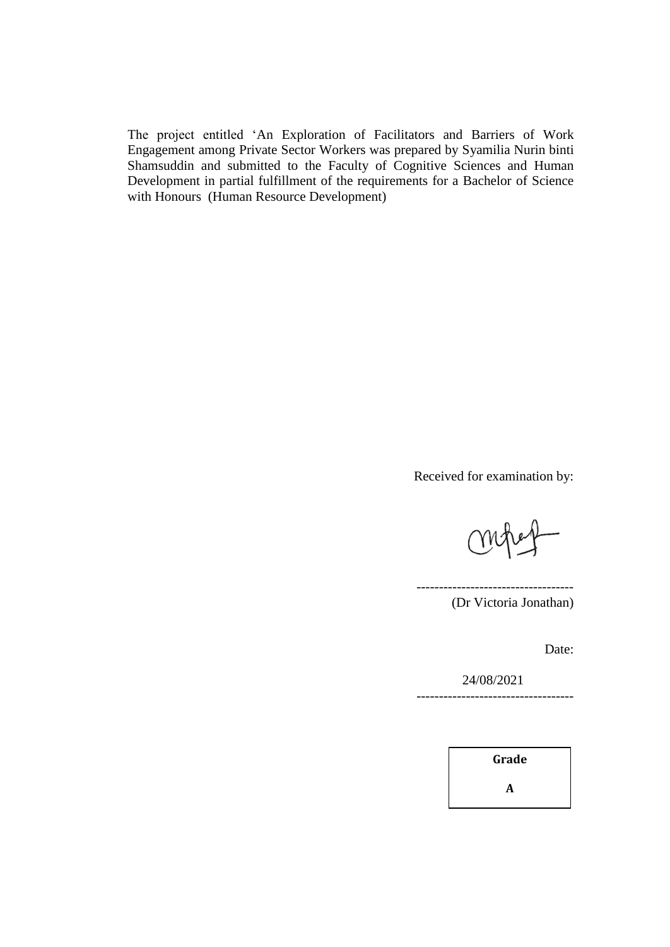The project entitled 'An Exploration of Facilitators and Barriers of Work Engagement among Private Sector Workers was prepared by Syamilia Nurin binti Shamsuddin and submitted to the Faculty of Cognitive Sciences and Human Development in partial fulfillment of the requirements for a Bachelor of Science with Honours (Human Resource Development)

Received for examination by:

----------------------------------- (Dr Victoria Jonathan)

Date:

24/08/2021 -----------------------------------

**Grade**

**A**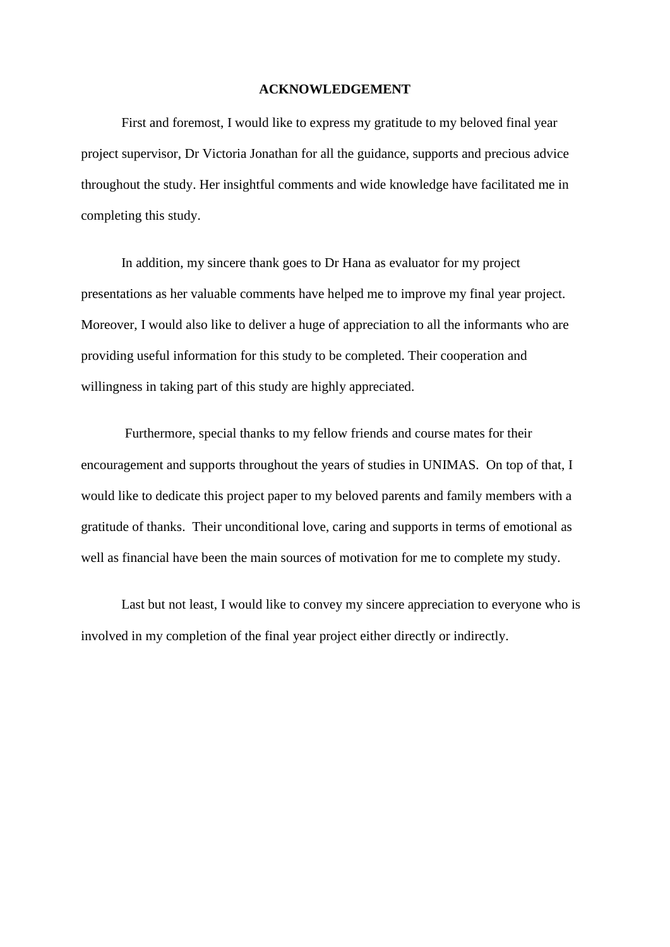#### **ACKNOWLEDGEMENT**

First and foremost, I would like to express my gratitude to my beloved final year project supervisor, Dr Victoria Jonathan for all the guidance, supports and precious advice throughout the study. Her insightful comments and wide knowledge have facilitated me in completing this study.

In addition, my sincere thank goes to Dr Hana as evaluator for my project presentations as her valuable comments have helped me to improve my final year project. Moreover, I would also like to deliver a huge of appreciation to all the informants who are providing useful information for this study to be completed. Their cooperation and willingness in taking part of this study are highly appreciated.

Furthermore, special thanks to my fellow friends and course mates for their encouragement and supports throughout the years of studies in UNIMAS. On top of that, I would like to dedicate this project paper to my beloved parents and family members with a gratitude of thanks. Their unconditional love, caring and supports in terms of emotional as well as financial have been the main sources of motivation for me to complete my study.

Last but not least, I would like to convey my sincere appreciation to everyone who is involved in my completion of the final year project either directly or indirectly.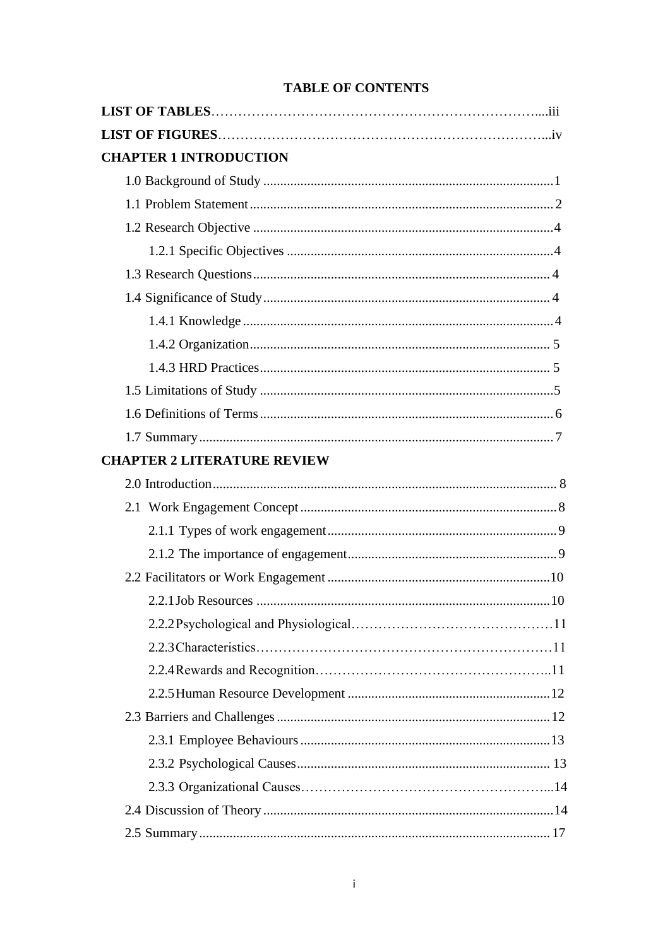| <b>TABLE OF CONTENTS</b> |  |  |
|--------------------------|--|--|
|--------------------------|--|--|

| <b>CHAPTER 1 INTRODUCTION</b>      |
|------------------------------------|
|                                    |
|                                    |
|                                    |
|                                    |
|                                    |
|                                    |
|                                    |
|                                    |
|                                    |
|                                    |
|                                    |
|                                    |
| <b>CHAPTER 2 LITERATURE REVIEW</b> |
|                                    |
|                                    |
|                                    |
|                                    |
|                                    |
|                                    |
|                                    |
|                                    |
|                                    |
|                                    |
|                                    |
|                                    |
|                                    |
|                                    |
|                                    |
|                                    |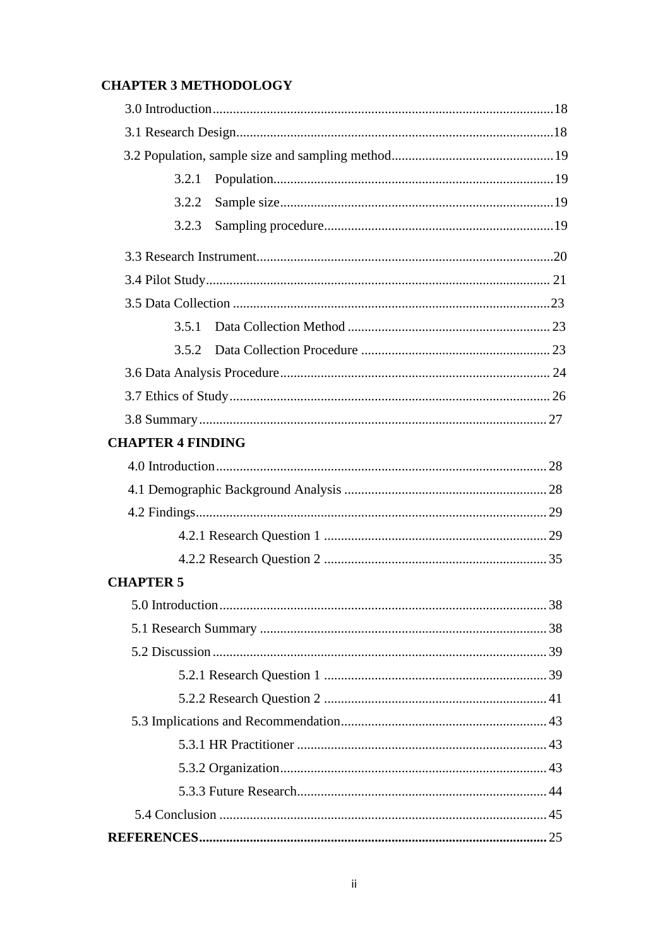# **CHAPTER 3 METHODOLOGY**

| 3.2.1                    |  |
|--------------------------|--|
| 3.2.2                    |  |
| 3.2.3                    |  |
|                          |  |
|                          |  |
|                          |  |
| 3.5.1                    |  |
| 3.5.2                    |  |
|                          |  |
|                          |  |
|                          |  |
| <b>CHAPTER 4 FINDING</b> |  |
|                          |  |
|                          |  |
|                          |  |
|                          |  |
|                          |  |
| <b>CHAPTER 5</b>         |  |
|                          |  |
|                          |  |
|                          |  |
|                          |  |
|                          |  |
|                          |  |
|                          |  |
|                          |  |
|                          |  |
|                          |  |
|                          |  |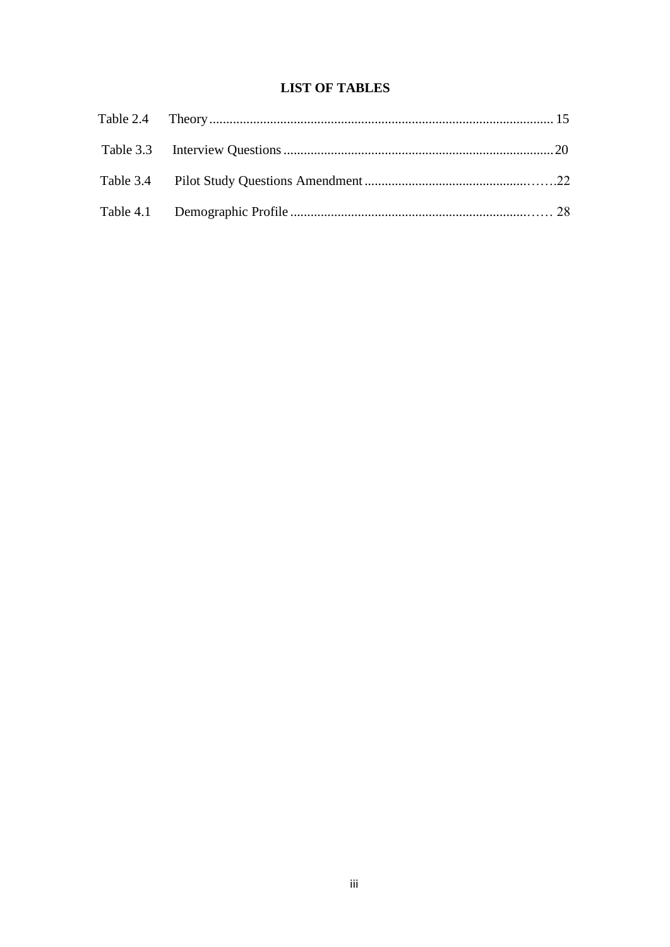# **LIST OF TABLES**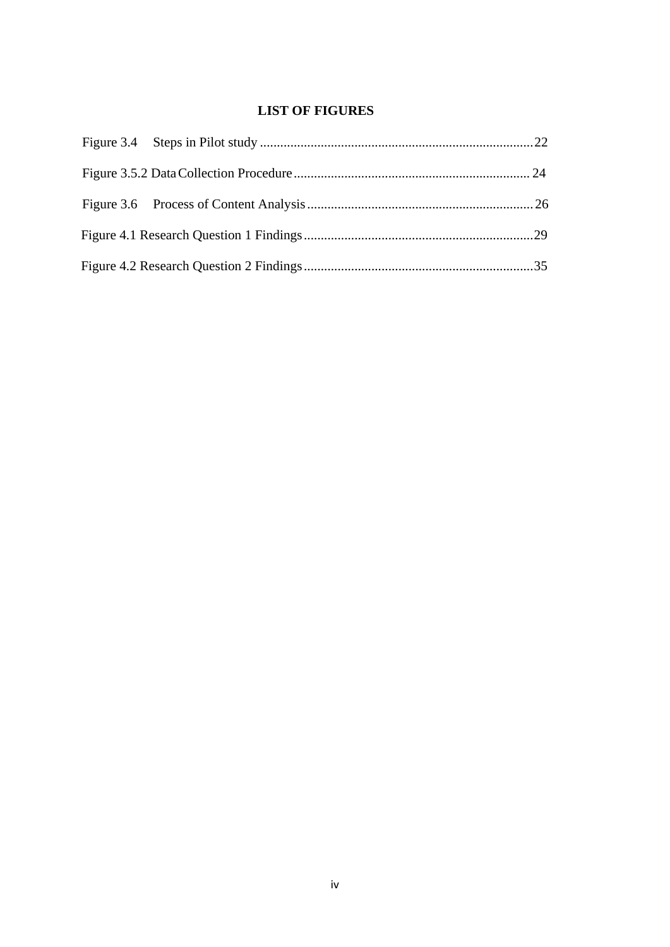# **LIST OF FIGURES**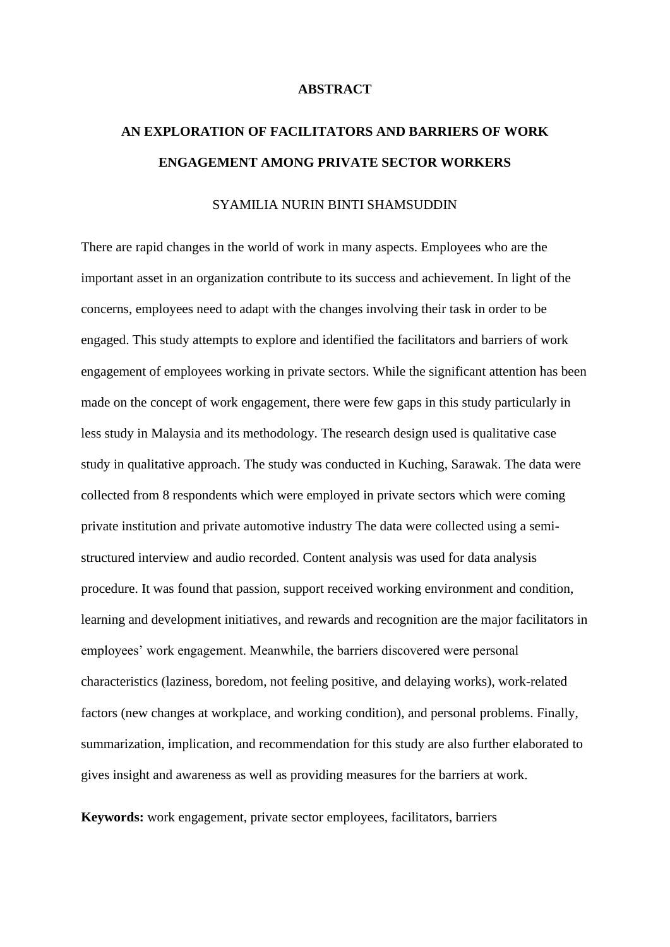#### **ABSTRACT**

# **AN EXPLORATION OF FACILITATORS AND BARRIERS OF WORK ENGAGEMENT AMONG PRIVATE SECTOR WORKERS**

# SYAMILIA NURIN BINTI SHAMSUDDIN

There are rapid changes in the world of work in many aspects. Employees who are the important asset in an organization contribute to its success and achievement. In light of the concerns, employees need to adapt with the changes involving their task in order to be engaged. This study attempts to explore and identified the facilitators and barriers of work engagement of employees working in private sectors. While the significant attention has been made on the concept of work engagement, there were few gaps in this study particularly in less study in Malaysia and its methodology. The research design used is qualitative case study in qualitative approach. The study was conducted in Kuching, Sarawak. The data were collected from 8 respondents which were employed in private sectors which were coming private institution and private automotive industry The data were collected using a semistructured interview and audio recorded. Content analysis was used for data analysis procedure. It was found that passion, support received working environment and condition, learning and development initiatives, and rewards and recognition are the major facilitators in employees' work engagement. Meanwhile, the barriers discovered were personal characteristics (laziness, boredom, not feeling positive, and delaying works), work-related factors (new changes at workplace, and working condition), and personal problems. Finally, summarization, implication, and recommendation for this study are also further elaborated to gives insight and awareness as well as providing measures for the barriers at work.

**Keywords:** work engagement, private sector employees, facilitators, barriers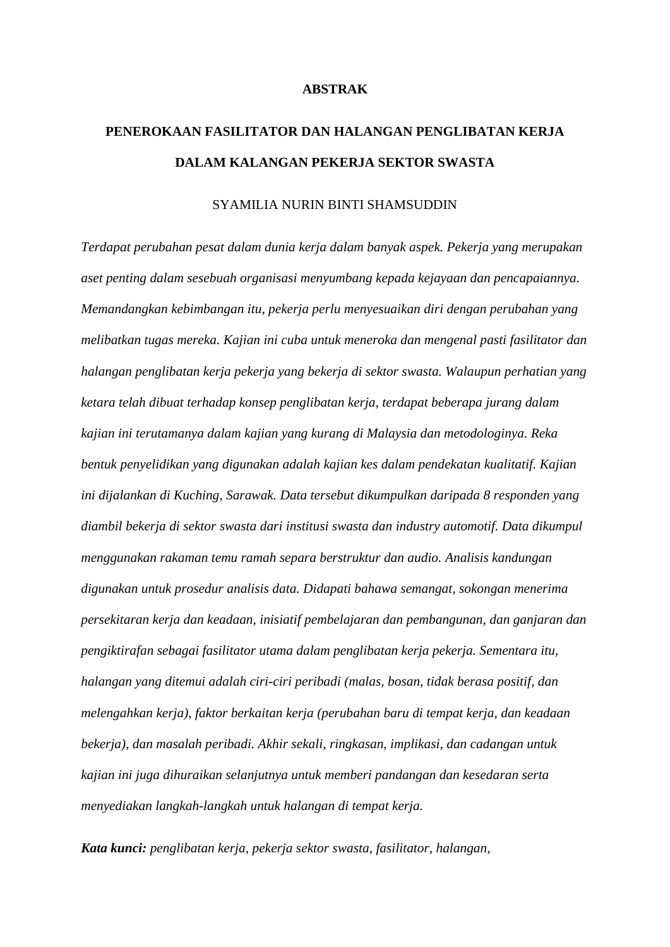#### **ABSTRAK**

# **PENEROKAAN FASILITATOR DAN HALANGAN PENGLIBATAN KERJA DALAM KALANGAN PEKERJA SEKTOR SWASTA**

# SYAMILIA NURIN BINTI SHAMSUDDIN

*Terdapat perubahan pesat dalam dunia kerja dalam banyak aspek. Pekerja yang merupakan aset penting dalam sesebuah organisasi menyumbang kepada kejayaan dan pencapaiannya. Memandangkan kebimbangan itu, pekerja perlu menyesuaikan diri dengan perubahan yang melibatkan tugas mereka. Kajian ini cuba untuk meneroka dan mengenal pasti fasilitator dan halangan penglibatan kerja pekerja yang bekerja di sektor swasta. Walaupun perhatian yang ketara telah dibuat terhadap konsep penglibatan kerja, terdapat beberapa jurang dalam kajian ini terutamanya dalam kajian yang kurang di Malaysia dan metodologinya. Reka bentuk penyelidikan yang digunakan adalah kajian kes dalam pendekatan kualitatif. Kajian ini dijalankan di Kuching, Sarawak. Data tersebut dikumpulkan daripada 8 responden yang diambil bekerja di sektor swasta dari institusi swasta dan industry automotif. Data dikumpul menggunakan rakaman temu ramah separa berstruktur dan audio. Analisis kandungan digunakan untuk prosedur analisis data. Didapati bahawa semangat, sokongan menerima persekitaran kerja dan keadaan, inisiatif pembelajaran dan pembangunan, dan ganjaran dan pengiktirafan sebagai fasilitator utama dalam penglibatan kerja pekerja. Sementara itu, halangan yang ditemui adalah ciri-ciri peribadi (malas, bosan, tidak berasa positif, dan melengahkan kerja), faktor berkaitan kerja (perubahan baru di tempat kerja, dan keadaan bekerja), dan masalah peribadi. Akhir sekali, ringkasan, implikasi, dan cadangan untuk kajian ini juga dihuraikan selanjutnya untuk memberi pandangan dan kesedaran serta menyediakan langkah-langkah untuk halangan di tempat kerja.*

*Kata kunci: penglibatan kerja, pekerja sektor swasta, fasilitator, halangan,*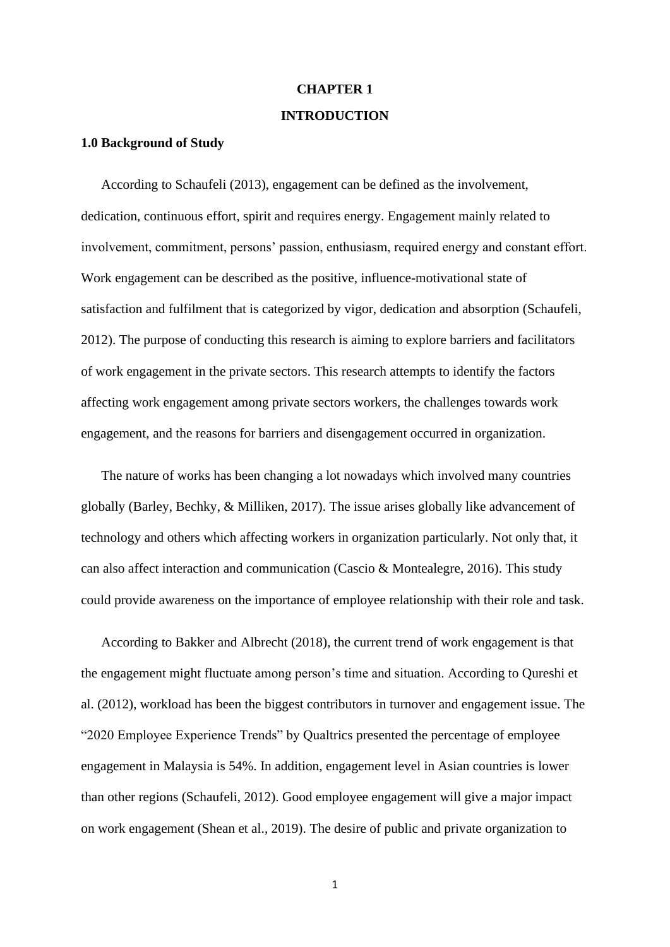#### **CHAPTER 1**

#### **INTRODUCTION**

#### **1.0 Background of Study**

According to Schaufeli (2013), engagement can be defined as the involvement, dedication, continuous effort, spirit and requires energy. Engagement mainly related to involvement, commitment, persons' passion, enthusiasm, required energy and constant effort. Work engagement can be described as the positive, influence-motivational state of satisfaction and fulfilment that is categorized by vigor, dedication and absorption (Schaufeli, 2012). The purpose of conducting this research is aiming to explore barriers and facilitators of work engagement in the private sectors. This research attempts to identify the factors affecting work engagement among private sectors workers, the challenges towards work engagement, and the reasons for barriers and disengagement occurred in organization.

The nature of works has been changing a lot nowadays which involved many countries globally (Barley, Bechky, & Milliken, 2017). The issue arises globally like advancement of technology and others which affecting workers in organization particularly. Not only that, it can also affect interaction and communication (Cascio & Montealegre, 2016). This study could provide awareness on the importance of employee relationship with their role and task.

According to Bakker and Albrecht (2018), the current trend of work engagement is that the engagement might fluctuate among person's time and situation. According to Qureshi et al. (2012), workload has been the biggest contributors in turnover and engagement issue. The "2020 Employee Experience Trends" by Qualtrics presented the percentage of employee engagement in Malaysia is 54%. In addition, engagement level in Asian countries is lower than other regions (Schaufeli, 2012). Good employee engagement will give a major impact on work engagement (Shean et al., 2019). The desire of public and private organization to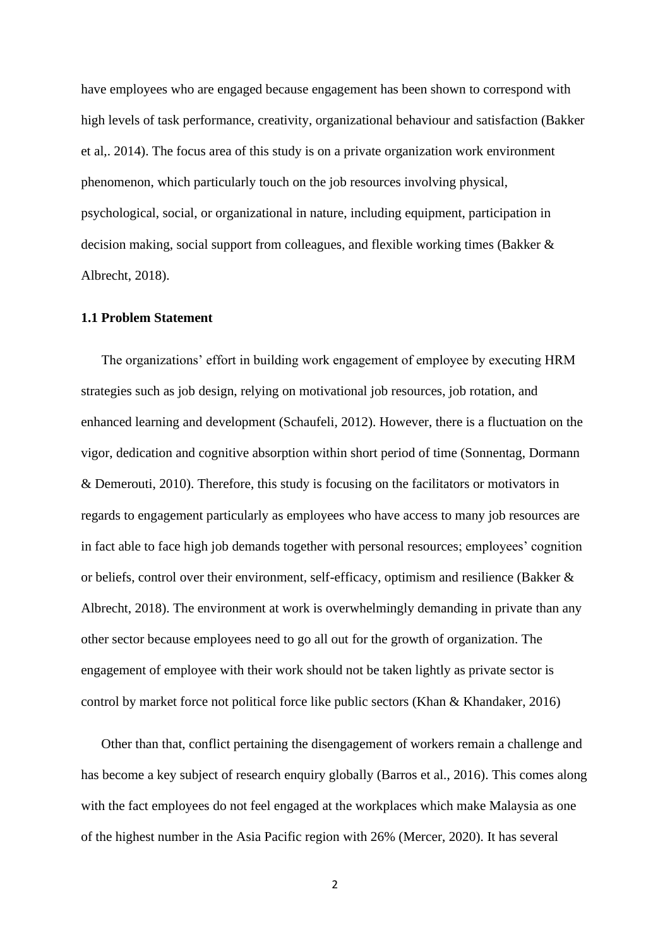have employees who are engaged because engagement has been shown to correspond with high levels of task performance, creativity, organizational behaviour and satisfaction (Bakker et al,. 2014). The focus area of this study is on a private organization work environment phenomenon, which particularly touch on the job resources involving physical, psychological, social, or organizational in nature, including equipment, participation in decision making, social support from colleagues, and flexible working times (Bakker & Albrecht, 2018).

# **1.1 Problem Statement**

The organizations' effort in building work engagement of employee by executing HRM strategies such as job design, relying on motivational job resources, job rotation, and enhanced learning and development (Schaufeli, 2012). However, there is a fluctuation on the vigor, dedication and cognitive absorption within short period of time (Sonnentag, Dormann & Demerouti, 2010). Therefore, this study is focusing on the facilitators or motivators in regards to engagement particularly as employees who have access to many job resources are in fact able to face high job demands together with personal resources; employees' cognition or beliefs, control over their environment, self-efficacy, optimism and resilience (Bakker & Albrecht, 2018). The environment at work is overwhelmingly demanding in private than any other sector because employees need to go all out for the growth of organization. The engagement of employee with their work should not be taken lightly as private sector is control by market force not political force like public sectors (Khan & Khandaker, 2016)

Other than that, conflict pertaining the disengagement of workers remain a challenge and has become a key subject of research enquiry globally (Barros et al., 2016). This comes along with the fact employees do not feel engaged at the workplaces which make Malaysia as one of the highest number in the Asia Pacific region with 26% (Mercer, 2020). It has several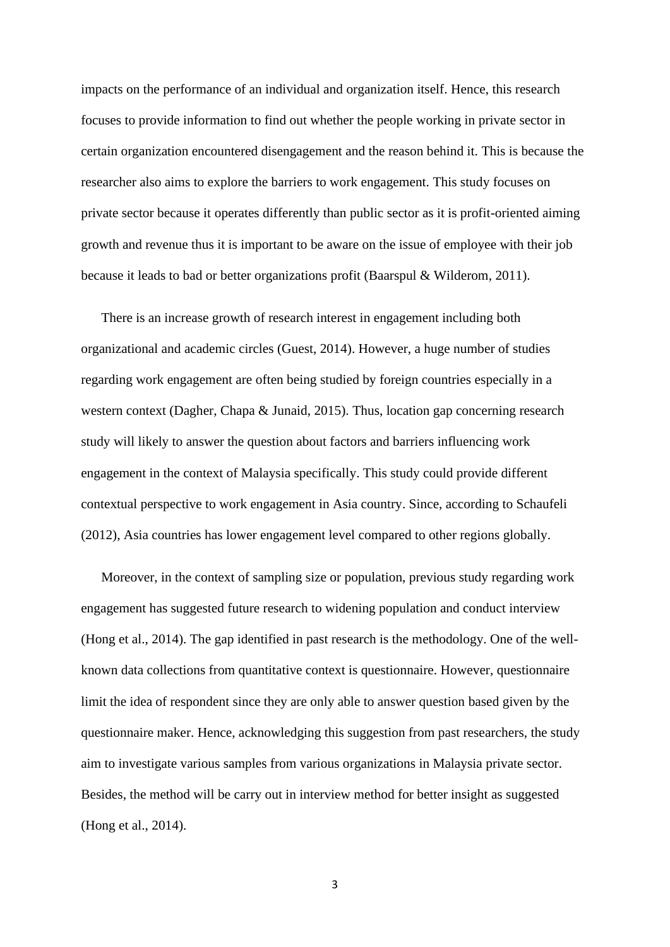impacts on the performance of an individual and organization itself. Hence, this research focuses to provide information to find out whether the people working in private sector in certain organization encountered disengagement and the reason behind it. This is because the researcher also aims to explore the barriers to work engagement. This study focuses on private sector because it operates differently than public sector as it is profit-oriented aiming growth and revenue thus it is important to be aware on the issue of employee with their job because it leads to bad or better organizations profit (Baarspul & Wilderom, 2011).

There is an increase growth of research interest in engagement including both organizational and academic circles (Guest, 2014). However, a huge number of studies regarding work engagement are often being studied by foreign countries especially in a western context (Dagher, Chapa & Junaid, 2015). Thus, location gap concerning research study will likely to answer the question about factors and barriers influencing work engagement in the context of Malaysia specifically. This study could provide different contextual perspective to work engagement in Asia country. Since, according to Schaufeli (2012), Asia countries has lower engagement level compared to other regions globally.

Moreover, in the context of sampling size or population, previous study regarding work engagement has suggested future research to widening population and conduct interview (Hong et al., 2014). The gap identified in past research is the methodology. One of the wellknown data collections from quantitative context is questionnaire. However, questionnaire limit the idea of respondent since they are only able to answer question based given by the questionnaire maker. Hence, acknowledging this suggestion from past researchers, the study aim to investigate various samples from various organizations in Malaysia private sector. Besides, the method will be carry out in interview method for better insight as suggested (Hong et al., 2014).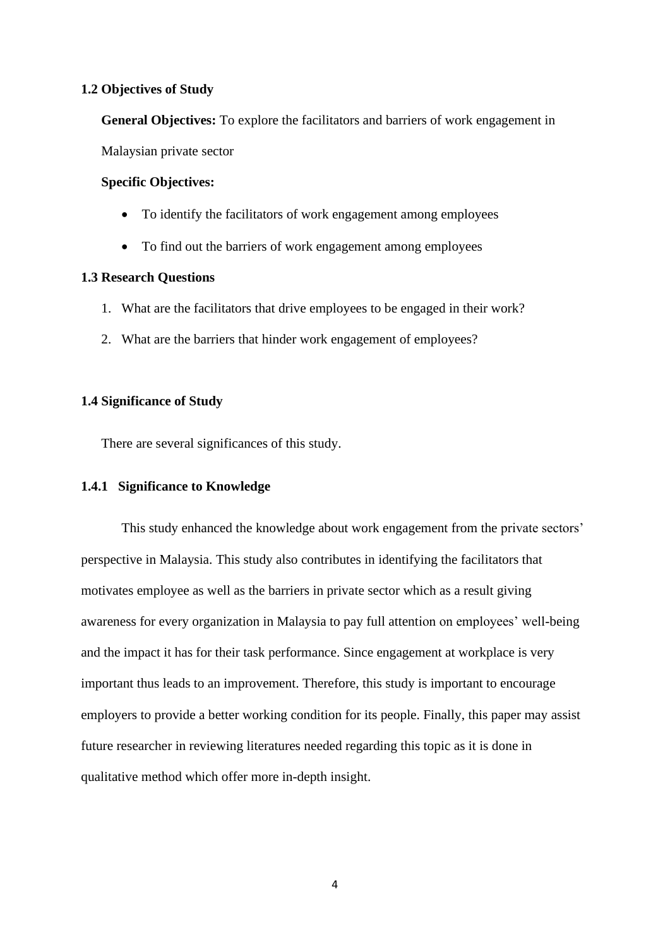## **1.2 Objectives of Study**

**General Objectives:** To explore the facilitators and barriers of work engagement in

Malaysian private sector

# **Specific Objectives:**

- To identify the facilitators of work engagement among employees
- To find out the barriers of work engagement among employees

# **1.3 Research Questions**

- 1. What are the facilitators that drive employees to be engaged in their work?
- 2. What are the barriers that hinder work engagement of employees?

# **1.4 Significance of Study**

There are several significances of this study.

# **1.4.1 Significance to Knowledge**

This study enhanced the knowledge about work engagement from the private sectors' perspective in Malaysia. This study also contributes in identifying the facilitators that motivates employee as well as the barriers in private sector which as a result giving awareness for every organization in Malaysia to pay full attention on employees' well-being and the impact it has for their task performance. Since engagement at workplace is very important thus leads to an improvement. Therefore, this study is important to encourage employers to provide a better working condition for its people. Finally, this paper may assist future researcher in reviewing literatures needed regarding this topic as it is done in qualitative method which offer more in-depth insight.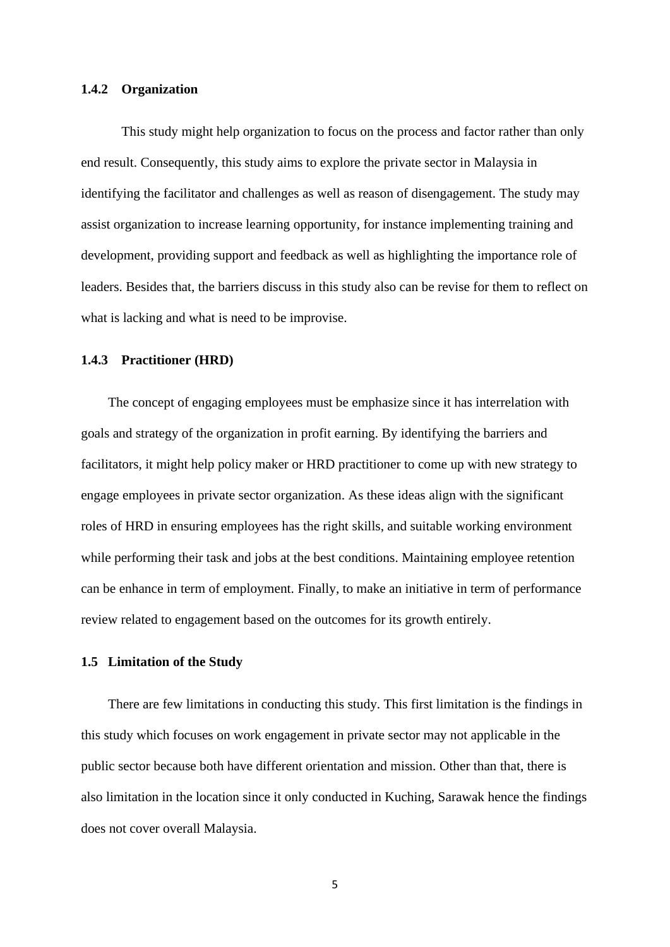#### **1.4.2 Organization**

This study might help organization to focus on the process and factor rather than only end result. Consequently, this study aims to explore the private sector in Malaysia in identifying the facilitator and challenges as well as reason of disengagement. The study may assist organization to increase learning opportunity, for instance implementing training and development, providing support and feedback as well as highlighting the importance role of leaders. Besides that, the barriers discuss in this study also can be revise for them to reflect on what is lacking and what is need to be improvise.

#### **1.4.3 Practitioner (HRD)**

The concept of engaging employees must be emphasize since it has interrelation with goals and strategy of the organization in profit earning. By identifying the barriers and facilitators, it might help policy maker or HRD practitioner to come up with new strategy to engage employees in private sector organization. As these ideas align with the significant roles of HRD in ensuring employees has the right skills, and suitable working environment while performing their task and jobs at the best conditions. Maintaining employee retention can be enhance in term of employment. Finally, to make an initiative in term of performance review related to engagement based on the outcomes for its growth entirely.

# **1.5 Limitation of the Study**

There are few limitations in conducting this study. This first limitation is the findings in this study which focuses on work engagement in private sector may not applicable in the public sector because both have different orientation and mission. Other than that, there is also limitation in the location since it only conducted in Kuching, Sarawak hence the findings does not cover overall Malaysia.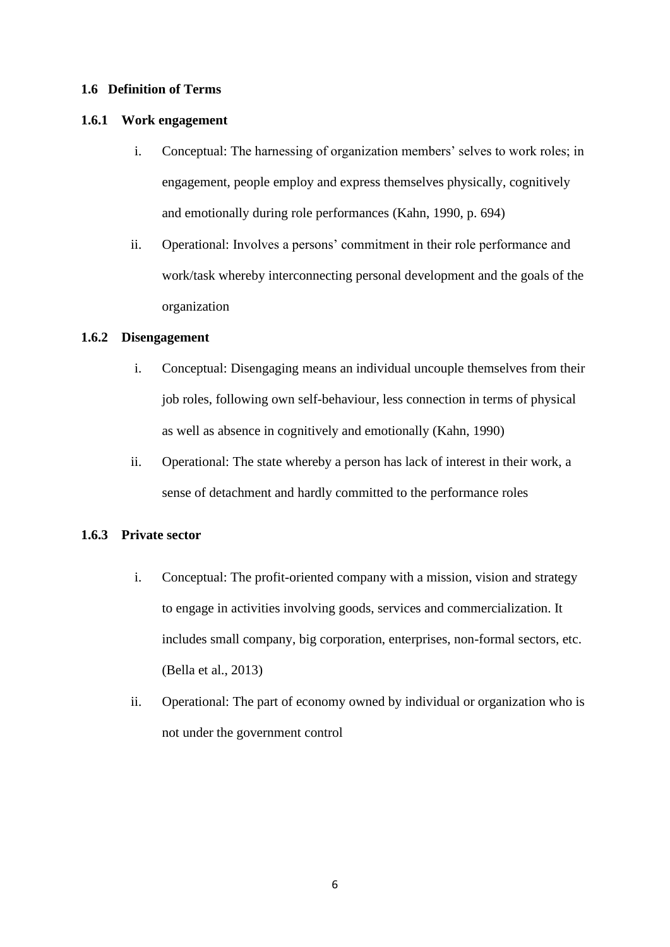# **1.6 Definition of Terms**

### **1.6.1 Work engagement**

- i. Conceptual: The harnessing of organization members' selves to work roles; in engagement, people employ and express themselves physically, cognitively and emotionally during role performances (Kahn, 1990, p. 694)
- ii. Operational: Involves a persons' commitment in their role performance and work/task whereby interconnecting personal development and the goals of the organization

# **1.6.2 Disengagement**

- i. Conceptual: Disengaging means an individual uncouple themselves from their job roles, following own self-behaviour, less connection in terms of physical as well as absence in cognitively and emotionally (Kahn, 1990)
- ii. Operational: The state whereby a person has lack of interest in their work, a sense of detachment and hardly committed to the performance roles

# **1.6.3 Private sector**

- i. Conceptual: The profit-oriented company with a mission, vision and strategy to engage in activities involving goods, services and commercialization. It includes small company, big corporation, enterprises, non-formal sectors, etc. (Bella et al., 2013)
- ii. Operational: The part of economy owned by individual or organization who is not under the government control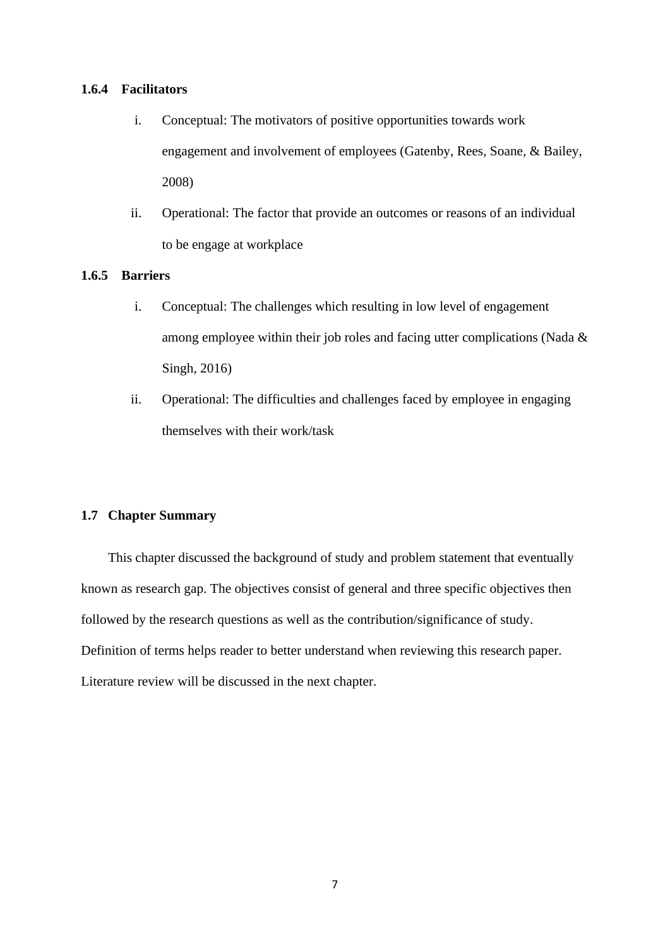# **1.6.4 Facilitators**

- i. Conceptual: The motivators of positive opportunities towards work engagement and involvement of employees (Gatenby, Rees, Soane, & Bailey, 2008)
- ii. Operational: The factor that provide an outcomes or reasons of an individual to be engage at workplace

### **1.6.5 Barriers**

- i. Conceptual: The challenges which resulting in low level of engagement among employee within their job roles and facing utter complications (Nada & Singh, 2016)
- ii. Operational: The difficulties and challenges faced by employee in engaging themselves with their work/task

# **1.7 Chapter Summary**

This chapter discussed the background of study and problem statement that eventually known as research gap. The objectives consist of general and three specific objectives then followed by the research questions as well as the contribution/significance of study. Definition of terms helps reader to better understand when reviewing this research paper. Literature review will be discussed in the next chapter.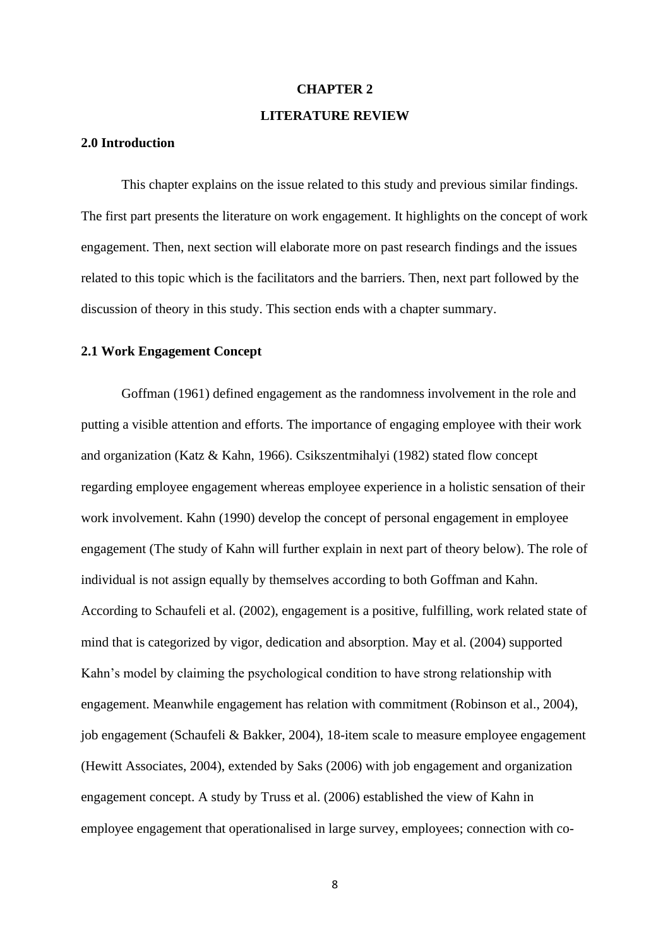#### **CHAPTER 2**

#### **LITERATURE REVIEW**

## **2.0 Introduction**

This chapter explains on the issue related to this study and previous similar findings. The first part presents the literature on work engagement. It highlights on the concept of work engagement. Then, next section will elaborate more on past research findings and the issues related to this topic which is the facilitators and the barriers. Then, next part followed by the discussion of theory in this study. This section ends with a chapter summary.

# **2.1 Work Engagement Concept**

Goffman (1961) defined engagement as the randomness involvement in the role and putting a visible attention and efforts. The importance of engaging employee with their work and organization (Katz & Kahn, 1966). Csikszentmihalyi (1982) stated flow concept regarding employee engagement whereas employee experience in a holistic sensation of their work involvement. Kahn (1990) develop the concept of personal engagement in employee engagement (The study of Kahn will further explain in next part of theory below). The role of individual is not assign equally by themselves according to both Goffman and Kahn. According to Schaufeli et al. (2002), engagement is a positive, fulfilling, work related state of mind that is categorized by vigor, dedication and absorption. May et al. (2004) supported Kahn's model by claiming the psychological condition to have strong relationship with engagement. Meanwhile engagement has relation with commitment (Robinson et al., 2004), job engagement (Schaufeli & Bakker, 2004), 18-item scale to measure employee engagement (Hewitt Associates, 2004), extended by Saks (2006) with job engagement and organization engagement concept. A study by Truss et al. (2006) established the view of Kahn in employee engagement that operationalised in large survey, employees; connection with co-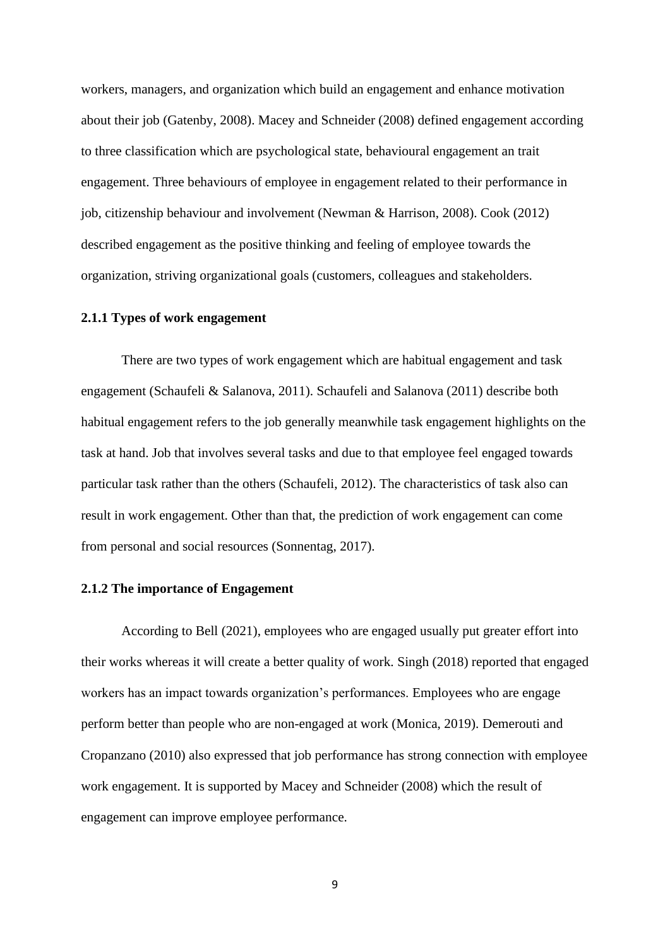workers, managers, and organization which build an engagement and enhance motivation about their job (Gatenby, 2008). Macey and Schneider (2008) defined engagement according to three classification which are psychological state, behavioural engagement an trait engagement. Three behaviours of employee in engagement related to their performance in job, citizenship behaviour and involvement (Newman & Harrison, 2008). Cook (2012) described engagement as the positive thinking and feeling of employee towards the organization, striving organizational goals (customers, colleagues and stakeholders.

#### **2.1.1 Types of work engagement**

There are two types of work engagement which are habitual engagement and task engagement (Schaufeli & Salanova, 2011). Schaufeli and Salanova (2011) describe both habitual engagement refers to the job generally meanwhile task engagement highlights on the task at hand. Job that involves several tasks and due to that employee feel engaged towards particular task rather than the others (Schaufeli, 2012). The characteristics of task also can result in work engagement. Other than that, the prediction of work engagement can come from personal and social resources (Sonnentag, 2017).

# **2.1.2 The importance of Engagement**

According to Bell (2021), employees who are engaged usually put greater effort into their works whereas it will create a better quality of work. Singh (2018) reported that engaged workers has an impact towards organization's performances. Employees who are engage perform better than people who are non-engaged at work (Monica, 2019). Demerouti and Cropanzano (2010) also expressed that job performance has strong connection with employee work engagement. It is supported by Macey and Schneider (2008) which the result of engagement can improve employee performance.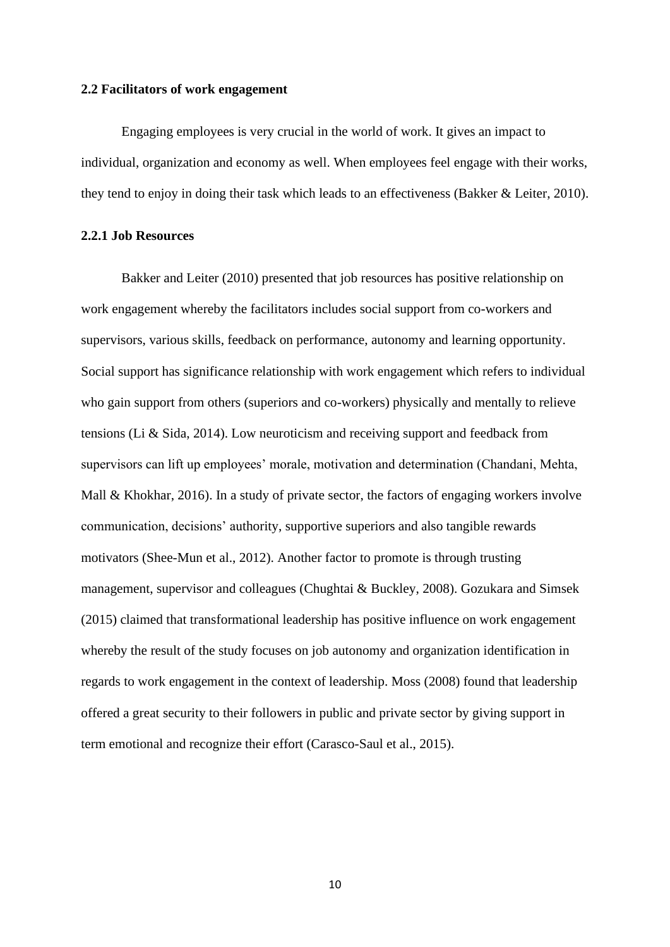#### **2.2 Facilitators of work engagement**

Engaging employees is very crucial in the world of work. It gives an impact to individual, organization and economy as well. When employees feel engage with their works, they tend to enjoy in doing their task which leads to an effectiveness (Bakker & Leiter, 2010).

#### **2.2.1 Job Resources**

Bakker and Leiter (2010) presented that job resources has positive relationship on work engagement whereby the facilitators includes social support from co-workers and supervisors, various skills, feedback on performance, autonomy and learning opportunity. Social support has significance relationship with work engagement which refers to individual who gain support from others (superiors and co-workers) physically and mentally to relieve tensions (Li & Sida, 2014). Low neuroticism and receiving support and feedback from supervisors can lift up employees' morale, motivation and determination (Chandani, Mehta, Mall & Khokhar, 2016). In a study of private sector, the factors of engaging workers involve communication, decisions' authority, supportive superiors and also tangible rewards motivators (Shee-Mun et al., 2012). Another factor to promote is through trusting management, supervisor and colleagues (Chughtai & Buckley, 2008). Gozukara and Simsek (2015) claimed that transformational leadership has positive influence on work engagement whereby the result of the study focuses on job autonomy and organization identification in regards to work engagement in the context of leadership. Moss (2008) found that leadership offered a great security to their followers in public and private sector by giving support in term emotional and recognize their effort (Carasco-Saul et al., 2015).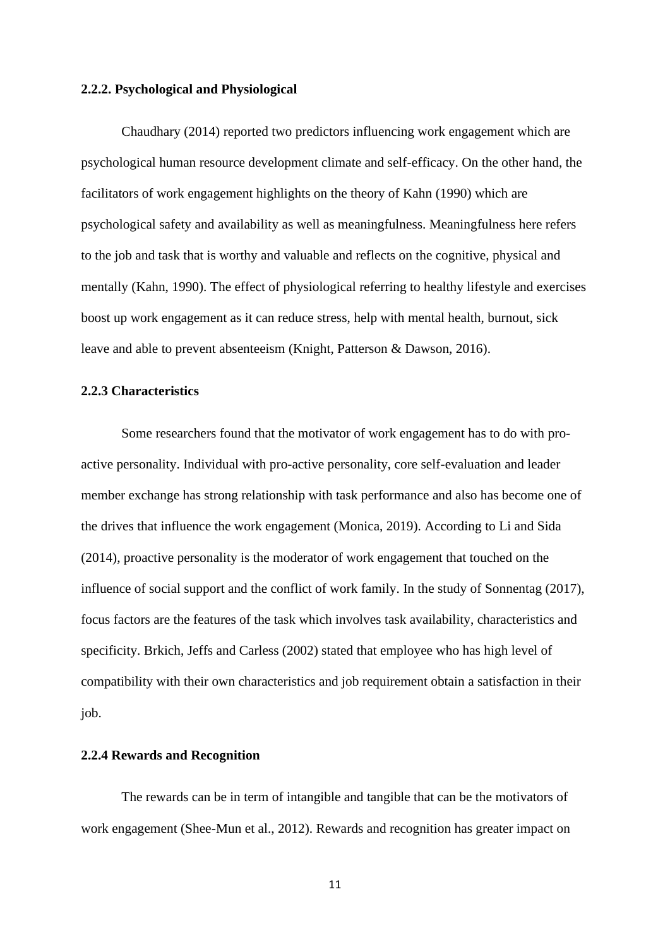#### **2.2.2. Psychological and Physiological**

Chaudhary (2014) reported two predictors influencing work engagement which are psychological human resource development climate and self-efficacy. On the other hand, the facilitators of work engagement highlights on the theory of Kahn (1990) which are psychological safety and availability as well as meaningfulness. Meaningfulness here refers to the job and task that is worthy and valuable and reflects on the cognitive, physical and mentally (Kahn, 1990). The effect of physiological referring to healthy lifestyle and exercises boost up work engagement as it can reduce stress, help with mental health, burnout, sick leave and able to prevent absenteeism (Knight, Patterson & Dawson, 2016).

# **2.2.3 Characteristics**

Some researchers found that the motivator of work engagement has to do with proactive personality. Individual with pro-active personality, core self-evaluation and leader member exchange has strong relationship with task performance and also has become one of the drives that influence the work engagement (Monica, 2019). According to Li and Sida (2014), proactive personality is the moderator of work engagement that touched on the influence of social support and the conflict of work family. In the study of Sonnentag (2017), focus factors are the features of the task which involves task availability, characteristics and specificity. Brkich, Jeffs and Carless (2002) stated that employee who has high level of compatibility with their own characteristics and job requirement obtain a satisfaction in their job.

#### **2.2.4 Rewards and Recognition**

The rewards can be in term of intangible and tangible that can be the motivators of work engagement (Shee-Mun et al., 2012). Rewards and recognition has greater impact on